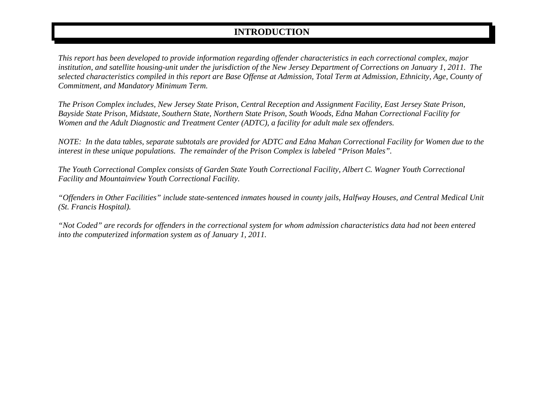# **INTRODUCTION**

*This report has been developed to provide information regarding offender characteristics in each correctional complex, major institution, and satellite housing-unit under the jurisdiction of the New Jersey Department of Corrections on January 1, 2011. The selected characteristics compiled in this report are Base Offense at Admission, Total Term at Admission, Ethnicity, Age, County of Commitment, and Mandatory Minimum Term.* 

*The Prison Complex includes, New Jersey State Prison, Central Reception and Assignment Facility, East Jersey State Prison, Bayside State Prison, Midstate, Southern State, Northern State Prison, South Woods, Edna Mahan Correctional Facility for Women and the Adult Diagnostic and Treatment Center (ADTC), a facility for adult male sex offenders.* 

*NOTE: In the data tables, separate subtotals are provided for ADTC and Edna Mahan Correctional Facility for Women due to the interest in these unique populations. The remainder of the Prison Complex is labeled "Prison Males".* 

*The Youth Correctional Complex consists of Garden State Youth Correctional Facility, Albert C. Wagner Youth Correctional Facility and Mountainview Youth Correctional Facility.* 

*"Offenders in Other Facilities" include state-sentenced inmates housed in county jails, Halfway Houses, and Central Medical Unit (St. Francis Hospital).* 

*"Not Coded" are records for offenders in the correctional system for whom admission characteristics data had not been entered into the computerized information system as of January 1, 2011.*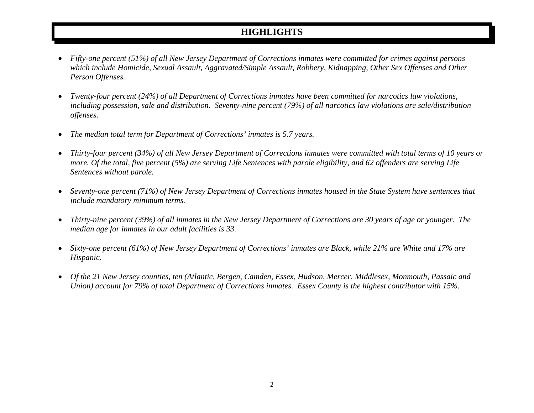## **HIGHLIGHTS**

- • *Fifty-one percent (51%) of all New Jersey Department of Corrections inmates were committed for crimes against persons which include Homicide, Sexual Assault, Aggravated/Simple Assault, Robbery, Kidnapping, Other Sex Offenses and Other Person Offenses.*
- • *Twenty-four percent (24%) of all Department of Corrections inmates have been committed for narcotics law violations, including possession, sale and distribution. Seventy-nine percent (79%) of all narcotics law violations are sale/distribution offenses.*
- •*The median total term for Department of Corrections' inmates is 5.7 years.*
- • *Thirty-four percent (34%) of all New Jersey Department of Corrections inmates were committed with total terms of 10 years or more. Of the total, five percent (5%) are serving Life Sentences with parole eligibility, and 62 offenders are serving Life Sentences without parole.*
- • *Seventy-one percent (71%) of New Jersey Department of Corrections inmates housed in the State System have sentences that include mandatory minimum terms.*
- • *Thirty-nine percent (39%) of all inmates in the New Jersey Department of Corrections are 30 years of age or younger. The median age for inmates in our adult facilities is 33.*
- • *Sixty-one percent (61%) of New Jersey Department of Corrections' inmates are Black, while 21% are White and 17% are Hispanic.*
- • *Of the 21 New Jersey counties, ten (Atlantic, Bergen, Camden, Essex, Hudson, Mercer, Middlesex, Monmouth, Passaic and Union) account for 79% of total Department of Corrections inmates. Essex County is the highest contributor with 15%.*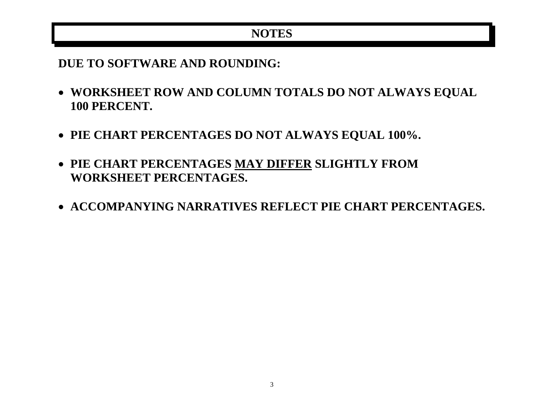# **NOTES**

**DUE TO SOFTWARE AND ROUNDING:** 

- **WORKSHEET ROW AND COLUMN TOTALS DO NOT ALWAYS EQUAL 100 PERCENT.**
- **PIE CHART PERCENTAGES DO NOT ALWAYS EQUAL 100%.**
- **PIE CHART PERCENTAGES MAY DIFFER SLIGHTLY FROM WORKSHEET PERCENTAGES.**
- **ACCOMPANYING NARRATIVES REFLECT PIE CHART PERCENTAGES.**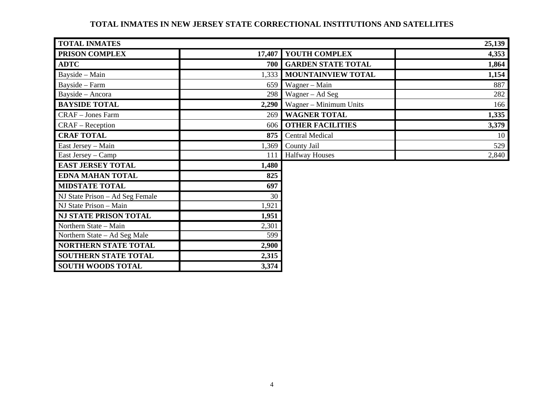## **TOTAL INMATES IN NEW JERSEY STATE CORRECTIONAL INSTITUTIONS AND SATELLITES**

| <b>TOTAL INMATES</b>            |        |                           | 25,139 |
|---------------------------------|--------|---------------------------|--------|
| PRISON COMPLEX                  | 17,407 | YOUTH COMPLEX             | 4,353  |
| <b>ADTC</b>                     | 700    | <b>GARDEN STATE TOTAL</b> | 1,864  |
| Bayside - Main                  | 1,333  | <b>MOUNTAINVIEW TOTAL</b> | 1,154  |
| Bayside - Farm                  | 659    | Wagner - Main             | 887    |
| Bayside - Ancora                | 298    | Wagner - Ad Seg           | 282    |
| <b>BAYSIDE TOTAL</b>            | 2,290  | Wagner - Minimum Units    | 166    |
| <b>CRAF</b> - Jones Farm        | 269    | <b>WAGNER TOTAL</b>       | 1,335  |
| $CRAF - Reception$              | 606    | <b>OTHER FACILITIES</b>   | 3,379  |
| <b>CRAF TOTAL</b>               | 875    | <b>Central Medical</b>    | 10     |
| East Jersey - Main              | 1,369  | County Jail               | 529    |
| East Jersey - Camp              | 111    | <b>Halfway Houses</b>     | 2,840  |
| <b>EAST JERSEY TOTAL</b>        | 1,480  |                           |        |
| <b>EDNA MAHAN TOTAL</b>         | 825    |                           |        |
| <b>MIDSTATE TOTAL</b>           | 697    |                           |        |
| NJ State Prison - Ad Seg Female | 30     |                           |        |
| NJ State Prison - Main          | 1,921  |                           |        |
| <b>NJ STATE PRISON TOTAL</b>    | 1,951  |                           |        |
| Northern State - Main           | 2,301  |                           |        |
| Northern State - Ad Seg Male    | 599    |                           |        |
| NORTHERN STATE TOTAL            | 2,900  |                           |        |
| SOUTHERN STATE TOTAL            | 2,315  |                           |        |
| <b>SOUTH WOODS TOTAL</b>        | 3,374  |                           |        |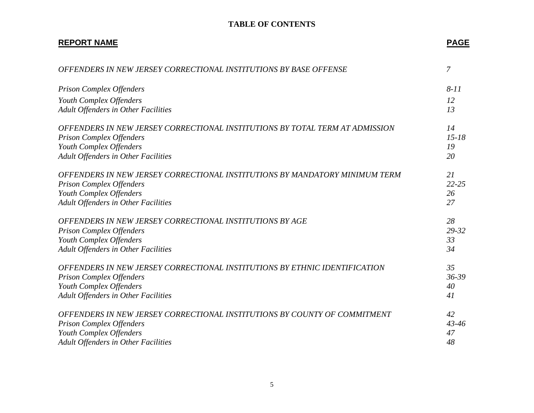### **TABLE OF CONTENTS**

| <b>REPORT NAME</b>                                                           | <b>PAGE</b>    |
|------------------------------------------------------------------------------|----------------|
| OFFENDERS IN NEW JERSEY CORRECTIONAL INSTITUTIONS BY BASE OFFENSE            | $\overline{7}$ |
| <b>Prison Complex Offenders</b>                                              | $8 - 11$       |
| Youth Complex Offenders                                                      | 12             |
| <b>Adult Offenders in Other Facilities</b>                                   | 13             |
| OFFENDERS IN NEW JERSEY CORRECTIONAL INSTITUTIONS BY TOTAL TERM AT ADMISSION | 14             |
| <b>Prison Complex Offenders</b>                                              | $15 - 18$      |
| Youth Complex Offenders                                                      | 19             |
| Adult Offenders in Other Facilities                                          | 20             |
| OFFENDERS IN NEW JERSEY CORRECTIONAL INSTITUTIONS BY MANDATORY MINIMUM TERM  | 21             |
| <b>Prison Complex Offenders</b>                                              | $22 - 25$      |
| Youth Complex Offenders                                                      | 26             |
| <b>Adult Offenders in Other Facilities</b>                                   | 27             |
| OFFENDERS IN NEW JERSEY CORRECTIONAL INSTITUTIONS BY AGE                     | 28             |
| <b>Prison Complex Offenders</b>                                              | 29-32          |
| Youth Complex Offenders                                                      | 33             |
| <b>Adult Offenders in Other Facilities</b>                                   | 34             |
| OFFENDERS IN NEW JERSEY CORRECTIONAL INSTITUTIONS BY ETHNIC IDENTIFICATION   | 35             |
| <b>Prison Complex Offenders</b>                                              | 36-39          |
| Youth Complex Offenders                                                      | 40             |
| Adult Offenders in Other Facilities                                          | 41             |
| OFFENDERS IN NEW JERSEY CORRECTIONAL INSTITUTIONS BY COUNTY OF COMMITMENT    | 42             |
| <b>Prison Complex Offenders</b>                                              | $43 - 46$      |
| Youth Complex Offenders                                                      | 47             |
| <b>Adult Offenders in Other Facilities</b>                                   | 48             |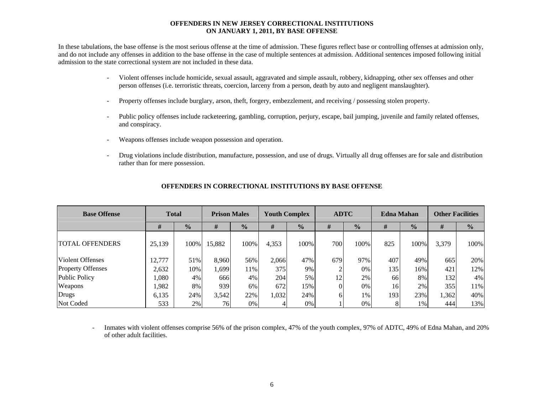#### **OFFENDERS IN NEW JERSEY CORRECTIONAL INSTITUTIONS ON JANUARY 1, 2011, BY BASE OFFENSE**

In these tabulations, the base offense is the most serious offense at the time of admission. These figures reflect base or controlling offenses at admission only, and do not include any offenses in addition to the base offense in the case of multiple sentences at admission. Additional sentences imposed following initial admission to the state correctional system are not included in these data.

- - Violent offenses include homicide, sexual assault, aggravated and simple assault, robbery, kidnapping, other sex offenses and other person offenses (i.e. terroristic threats, coercion, larceny from a person, death by auto and negligent manslaughter).
- Property offenses include burglary, arson, theft, forgery, embezzlement, and receiving / possessing stolen property.
- Public policy offenses include racketeering, gambling, corruption, perjury, escape, bail jumping, juvenile and family related offenses, and conspiracy.
- Weapons offenses include weapon possession and operation.
- Drug violations include distribution, manufacture, possession, and use of drugs. Virtually all drug offenses are for sale and distribution rather than for mere possession.

| <b>Base Offense</b>      | <b>Total</b> |               | <b>Prison Males</b> |               | <b>Youth Complex</b> |               | <b>ADTC</b> |               | <b>Edna Mahan</b> |               | <b>Other Facilities</b> |               |
|--------------------------|--------------|---------------|---------------------|---------------|----------------------|---------------|-------------|---------------|-------------------|---------------|-------------------------|---------------|
|                          | #            | $\frac{1}{2}$ | #                   | $\frac{1}{2}$ | #                    | $\frac{1}{2}$ | #           | $\frac{0}{0}$ | #                 | $\frac{0}{0}$ | #                       | $\frac{0}{0}$ |
| <b>TOTAL OFFENDERS</b>   | 25,139       | 100%          | 15,882              | 100%          | 4,353                | 100%          | 700         | 100%          | 825               | 100%          | 3,379                   | 100%          |
| Violent Offenses         | 12,777       | 51%           | 8,960               | 56%           | 2,066                | 47%           | 679         | 97%           | 407               | 49%           | 665                     | 20%           |
| <b>Property Offenses</b> | 2,632        | 10%           | 1,699               | 11%           | 375                  | 9%            |             | 0%            | 135               | 16%           | 421                     | 12%           |
| Public Policy            | 1,080        | 4%            | 666                 | 4%            | 204                  | 5%            | 12          | 2%            | 66                | 8%            | 1321                    | 4%            |
| Weapons                  | 1,982        | 8%            | 939                 | 6%            | 672                  | 15%           |             | 0%            | 16                | 2%            | 355                     | 11%           |
| Drugs                    | 6,135        | 24%           | 3,542               | 22%           | 1,032                | 24%           | 6           | 1%            | 193               | 23%           | 1,362                   | 40%           |
| Not Coded                | 533          | 2%            | 76                  | 0%            |                      | 0%            |             | 0%            |                   | $1\%$         | 444                     | 13%           |

#### **OFFENDERS IN CORRECTIONAL INSTITUTIONS BY BASE OFFENSE**

- Inmates with violent offenses comprise 56% of the prison complex, 47% of the youth complex, 97% of ADTC, 49% of Edna Mahan, and 20% of other adult facilities.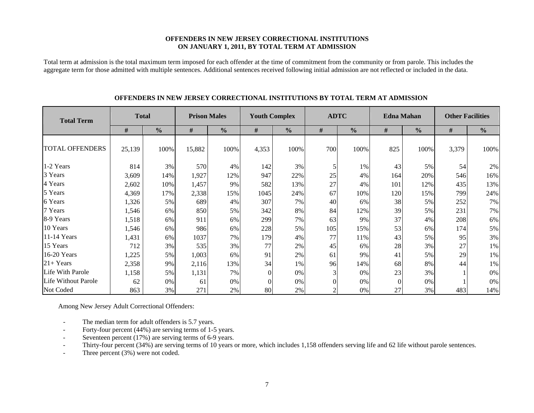#### **OFFENDERS IN NEW JERSEY CORRECTIONAL INSTITUTIONS ON JANUARY 1, 2011, BY TOTAL TERM AT ADMISSION**

Total term at admission is the total maximum term imposed for each offender at the time of commitment from the community or from parole. This includes the aggregate term for those admitted with multiple sentences. Additional sentences received following initial admission are not reflected or included in the data.

| <b>Total Term</b>          | <b>Total</b> |               | <b>Prison Males</b> |               | <b>Youth Complex</b> |               | <b>ADTC</b> |               | <b>Edna Mahan</b> |               | <b>Other Facilities</b> |               |
|----------------------------|--------------|---------------|---------------------|---------------|----------------------|---------------|-------------|---------------|-------------------|---------------|-------------------------|---------------|
|                            | #            | $\frac{0}{0}$ | $\#$                | $\frac{0}{0}$ | #                    | $\frac{6}{6}$ | #           | $\frac{0}{0}$ | #                 | $\frac{0}{0}$ | #                       | $\frac{0}{0}$ |
| <b>TOTAL OFFENDERS</b>     | 25,139       | 100%          | 15,882              | 100%          | 4,353                | 100%          | 700         | 100%          | 825               | 100%          | 3,379                   | 100%          |
| 1-2 Years                  | 814          | 3%            | 570                 | 4%            | 142                  | 3%            | 5           | 1%            | 43                | 5%            | 54                      | 2%            |
| 3 Years                    | 3,609        | 14%           | 1,927               | 12%           | 947                  | 22%           | 25          | 4%            | 164               | 20%           | 546                     | 16%           |
| 4 Years                    | 2,602        | 10%           | 1,457               | 9%            | 582                  | 13%           | 27          | 4%            | 101               | 12%           | 435                     | 13%           |
| 5 Years                    | 4,369        | 17%           | 2,338               | 15%           | 1045                 | 24%           | 67          | 10%           | 120               | 15%           | 799                     | 24%           |
| 6 Years                    | 1,326        | 5%            | 689                 | 4%            | 307                  | 7%            | 40          | 6%            | 38                | 5%            | 252                     | 7%            |
| 7 Years                    | 1,546        | 6%            | 850                 | 5%            | 342                  | 8%            | 84          | 12%           | 39                | 5%            | 231                     | 7%            |
| 8-9 Years                  | 1,518        | 6%            | 911                 | 6%            | 299                  | 7%            | 63          | 9%            | 37                | 4%            | 208                     | 6%            |
| 10 Years                   | 1,546        | 6%            | 986                 | 6%            | 228                  | 5%            | 105         | 15%           | 53                | 6%            | 174                     | 5%            |
| 11-14 Years                | 1,431        | 6%            | 1037                | 7%            | 179                  | 4%            | 77          | 11%           | 43                | 5%            | 95                      | 3%            |
| 15 Years                   | 712          | 3%            | 535                 | 3%            | 77                   | 2%            | 45          | 6%            | 28                | 3%            | 27                      | 1%            |
| 16-20 Years                | 1,225        | 5%            | 1,003               | 6%            | 91                   | 2%            | 61          | 9%            | 41                | 5%            | 29                      | $1\%$         |
| $21+Years$                 | 2,358        | 9%            | 2,116               | 13%           | 34                   | 1%            | 96          | 14%           | 68                | 8%            | 44                      | 1%            |
| Life With Parole           | 1,158        | 5%            | 1,131               | 7%            | $\overline{0}$       | 0%            | 3           | 0%            | 23                | 3%            |                         | 0%            |
| <b>Life Without Parole</b> | 62           | 0%            | 61                  | 0%            | $\boldsymbol{0}$     | 0%            |             | 0%            | $\theta$          | 0%            |                         | 0%            |
| Not Coded                  | 863          | 3%            | 271                 | 2%            | 80                   | 2%            | ↑           | 0%            | 27                | 3%            | 483                     | 14%           |

#### **OFFENDERS IN NEW JERSEY CORRECTIONAL INSTITUTIONS BY TOTAL TERM AT ADMISSION**

Among New Jersey Adult Correctional Offenders:

- -The median term for adult offenders is 5.7 years.
- -Forty-four percent (44%) are serving terms of 1-5 years.
- -Seventeen percent (17%) are serving terms of 6-9 years.
- -Thirty-four percent (34%) are serving terms of 10 years or more, which includes 1,158 offenders serving life and 62 life without parole sentences.
- -Three percent (3%) were not coded.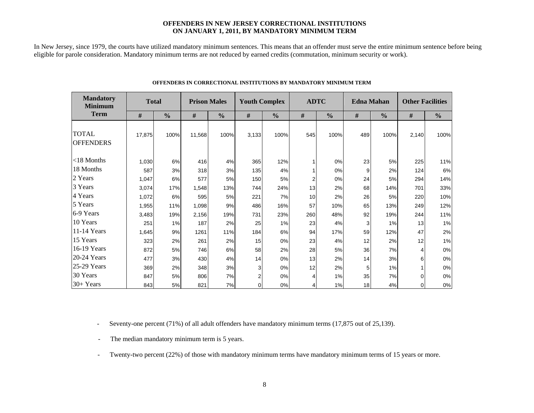#### **OFFENDERS IN NEW JERSEY CORRECTIONAL INSTITUTIONS ON JANUARY 1, 2011, BY MANDATORY MINIMUM TERM**

In New Jersey, since 1979, the courts have utilized mandatory minimum sentences. This means that an offender must serve the entire minimum sentence before being eligible for parole consideration. Mandatory minimum terms are not reduced by earned credits (commutation, minimum security or work).

| <b>Mandatory</b><br><b>Minimum</b> | <b>Total</b> |               | <b>Prison Males</b> |               | <b>Youth Complex</b> |               | <b>ADTC</b>    |               | <b>Edna Mahan</b> |               | <b>Other Facilities</b> |               |
|------------------------------------|--------------|---------------|---------------------|---------------|----------------------|---------------|----------------|---------------|-------------------|---------------|-------------------------|---------------|
| <b>Term</b>                        | #            | $\frac{0}{0}$ | #                   | $\frac{0}{0}$ | #                    | $\frac{0}{0}$ | #              | $\frac{0}{0}$ | #                 | $\frac{0}{0}$ | #                       | $\frac{0}{0}$ |
| <b>TOTAL</b><br><b>OFFENDERS</b>   | 17,875       | 100%          | 11,568              | 100%          | 3,133                | 100%          | 545            | 100%          | 489               | 100%          | 2,140                   | 100%          |
| $<$ 18 Months                      | 1,030        | 6%            | 416                 | 4%            | 365                  | 12%           |                | 0%            | 23                | 5%            | 225                     | 11%           |
| 18 Months                          | 587          | 3%            | 318                 | 3%            | 135                  | 4%            |                | 0%            | 9                 | 2%            | 124                     | 6%            |
| 2 Years                            | 1,047        | 6%            | 577                 | 5%            | 150                  | 5%            | $\overline{2}$ | 0%            | 24                | 5%            | 294                     | 14%           |
| 3 Years                            | 3,074        | 17%           | 1,548               | 13%           | 744                  | 24%           | 13             | 2%            | 68                | 14%           | 701                     | 33%           |
| 4 Years                            | 1,072        | 6%            | 595                 | 5%            | 221                  | 7%            | 10             | 2%            | 26                | 5%            | 220                     | 10%           |
| 5 Years                            | 1,955        | 11%           | 1,098               | 9%            | 486                  | 16%           | 57             | 10%           | 65                | 13%           | 249                     | 12%           |
| 6-9 Years                          | 3,483        | 19%           | 2,156               | 19%           | 731                  | 23%           | 260            | 48%           | 92                | 19%           | 244                     | 11%           |
| 10 Years                           | 251          | 1%            | 187                 | 2%            | 25                   | 1%            | 23             | 4%            | 3                 | 1%            | 13                      | 1%            |
| 11-14 Years                        | 1,645        | 9%            | 1261                | 11%           | 184                  | 6%            | 94             | 17%           | 59                | 12%           | 47                      | 2%            |
| 15 Years                           | 323          | 2%            | 261                 | 2%            | 15                   | 0%            | 23             | 4%            | 12                | 2%            | 12                      | 1%            |
| 16-19 Years                        | 872          | 5%            | 746                 | 6%            | 58                   | 2%            | 28             | 5%            | 36                | 7%            | 4                       | 0%            |
| 20-24 Years                        | 477          | 3%            | 430                 | 4%            | 14                   | 0%            | 13             | 2%            | 14                | 3%            | 6                       | 0%            |
| $ 25-29$ Years                     | 369          | 2%            | 348                 | 3%            | 3                    | 0%            | 12             | 2%            | 5                 | 1%            |                         | 0%            |
| 30 Years                           | 847          | 5%            | 806                 | 7%            | 2                    | 0%            | 4              | 1%            | 35                | 7%            | 0                       | 0%            |
| 30+ Years                          | 843          | 5%            | 821                 | 7%            | $\Omega$             | 0%            | 4              | 1%            | 18                | 4%            | 0                       | 0%            |

#### **OFFENDERS IN CORRECTIONAL INSTITUTIONS BY MANDATORY MINIMUM TERM**

**Contract Contract** 

- Seventy-one percent (71%) of all adult offenders have mandatory minimum terms (17,875 out of 25,139).

- The median mandatory minimum term is 5 years.

-Twenty-two percent (22%) of those with mandatory minimum terms have mandatory minimum terms of 15 years or more.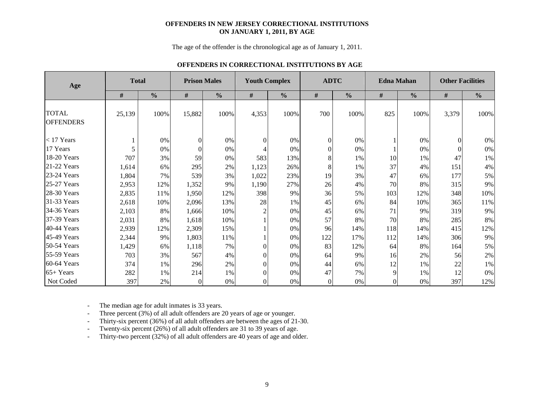#### **OFFENDERS IN NEW JERSEY CORRECTIONAL INSTITUTIONS ON JANUARY 1, 2011, BY AGE**

The age of the offender is the chronological age as of January 1, 2011.

#### **OFFENDERS IN CORRECTIONAL INSTITUTIONS BY AGE**

| Age                              | <b>Total</b> |               |          | <b>Prison Males</b> |                | <b>Youth Complex</b> |          | <b>ADTC</b>   |                | <b>Edna Mahan</b> |          | <b>Other Facilities</b> |  |
|----------------------------------|--------------|---------------|----------|---------------------|----------------|----------------------|----------|---------------|----------------|-------------------|----------|-------------------------|--|
|                                  | #            | $\frac{6}{6}$ | #        | $\frac{0}{0}$       | #              | $\frac{0}{0}$        | #        | $\frac{6}{6}$ | #              | $\frac{0}{0}$     | #        | $\frac{6}{6}$           |  |
| <b>TOTAL</b><br><b>OFFENDERS</b> | 25,139       | 100%          | 15,882   | 100%                | 4,353          | 100%                 | 700      | 100%          | 825            | 100%              | 3,379    | 100%                    |  |
| $<$ 17 Years                     |              | 0%            |          | $0\%$               | $\Omega$       | 0%                   | $\theta$ | 0%            |                | 0%                | $\Omega$ | $0\%$                   |  |
| 17 Years                         | 5            | 0%            | $\Omega$ | 0%                  |                | 0%                   | $\Omega$ | 0%            |                | 0%                |          | 0%                      |  |
| 18-20 Years                      | 707          | 3%            | 59       | 0%                  | 583            | 13%                  | 8        | 1%            | 10             | 1%                | 47       | $1\%$                   |  |
| 21-22 Years                      | 1,614        | 6%            | 295      | 2%                  | 1,123          | 26%                  | 8        | 1%            | 37             | 4%                | 151      | 4%                      |  |
| 23-24 Years                      | 1,804        | 7%            | 539      | 3%                  | 1,022          | 23%                  | 19       | 3%            | 47             | 6%                | 177      | 5%                      |  |
| 25-27 Years                      | 2,953        | 12%           | 1,352    | 9%                  | 1,190          | 27%                  | 26       | 4%            | 70             | 8%                | 315      | 9%                      |  |
| 28-30 Years                      | 2,835        | 11%           | 1,950    | 12%                 | 398            | 9%                   | 36       | 5%            | 103            | 12%               | 348      | 10%                     |  |
| 31-33 Years                      | 2,618        | 10%           | 2,096    | 13%                 | 28             | 1%                   | 45       | 6%            | 84             | 10%               | 365      | 11%                     |  |
| 34-36 Years                      | 2,103        | 8%            | 1,666    | 10%                 | $\overline{c}$ | 0%                   | 45       | 6%            | 71             | 9%                | 319      | 9%                      |  |
| 37-39 Years                      | 2,031        | 8%            | 1,618    | 10%                 |                | 0%                   | 57       | 8%            | 70             | 8%                | 285      | 8%                      |  |
| 40-44 Years                      | 2,939        | 12%           | 2,309    | 15%                 |                | $0\%$                | 96       | 14%           | 118            | 14%               | 415      | 12%                     |  |
| 45-49 Years                      | 2,344        | 9%            | 1,803    | 11%                 |                | 0%                   | 122      | 17%           | 112            | 14%               | 306      | 9%                      |  |
| 50-54 Years                      | 1,429        | 6%            | 1,118    | 7%                  | 0              | 0%                   | 83       | 12%           | 64             | 8%                | 164      | 5%                      |  |
| 55-59 Years                      | 703          | 3%            | 567      | 4%                  | 0              | 0%                   | 64       | 9%            | 16             | 2%                | 56       | 2%                      |  |
| 60-64 Years                      | 374          | 1%            | 296      | 2%                  | 0              | 0%                   | 44       | 6%            | 12             | 1%                | 22       | $1\%$                   |  |
| $65+Years$                       | 282          | 1%            | 214      | 1%                  | 0              | $0\%$                | 47       | 7%            | 9              | 1%                | 12       | 0%                      |  |
| Not Coded                        | 397          | 2%            | $\Omega$ | 0%                  | 0              | $0\%$                | $\Omega$ | 0%            | $\overline{0}$ | 0%                | 397      | 12%                     |  |

-The median age for adult inmates is 33 years.

-Three percent (3%) of all adult offenders are 20 years of age or younger.

-Thirty-six percent (36%) of all adult offenders are between the ages of 21-30.

-Twenty-six percent (26%) of all adult offenders are 31 to 39 years of age.

-Thirty-two percent (32%) of all adult offenders are 40 years of age and older.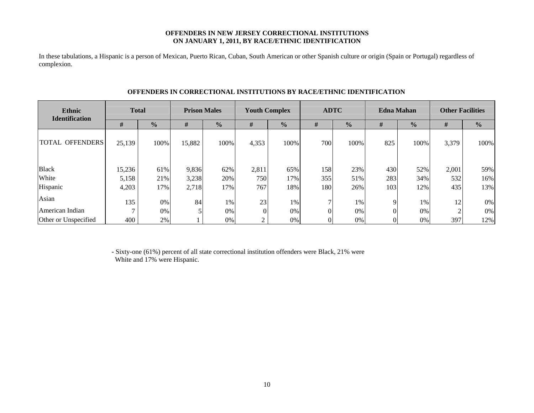#### **OFFENDERS IN NEW JERSEY CORRECTIONAL INSTITUTIONS ON JANUARY 1, 2011, BY RACE/ETHNIC IDENTIFICATION**

In these tabulations, a Hispanic is a person of Mexican, Puerto Rican, Cuban, South American or other Spanish culture or origin (Spain or Portugal) regardless of complexion.

| Ethnic<br><b>Identification</b> | <b>Total</b>   |               | <b>Prison Males</b> |               | <b>Youth Complex</b> |               | <b>ADTC</b> |               | <b>Edna Mahan</b> |               | <b>Other Facilities</b> |               |
|---------------------------------|----------------|---------------|---------------------|---------------|----------------------|---------------|-------------|---------------|-------------------|---------------|-------------------------|---------------|
|                                 | #              | $\frac{0}{0}$ | #                   | $\frac{0}{0}$ | #                    | $\frac{0}{0}$ | #           | $\frac{0}{0}$ | #                 | $\frac{0}{0}$ | #                       | $\frac{0}{0}$ |
| <b>TOTAL OFFENDERS</b>          | 25,139         | 100%          | 15,882              | 100%          | 4,353                | 100%          | 700         | 100%          | 825               | 100%          | 3,379                   | 100%          |
| <b>Black</b><br>White           | 15,236         | 61%           | 9,836               | 62%           | 2,811                | 65%           | 158         | 23%           | 430               | 52%           | 2,001                   | 59%           |
| Hispanic                        | 5,158<br>4,203 | 21%<br>17%    | 3,238<br>2,718      | 20%<br>17%    | 750<br>767           | 17%<br>18%    | 355<br>180  | 51%<br>26%    | 283<br>103        | 34%<br>12%    | 532<br>435              | 16%<br>13%    |
| Asian                           | 135            | 0%            | 84                  | 1%            | 23                   | 1%            |             | 1%            | 9                 | 1%            | 12                      | $0\%$         |
| American Indian                 |                | $0\%$         |                     | 0%            |                      | $0\%$         | $\Omega$    | 0%            |                   | $0\%$         |                         | 0%            |
| Other or Unspecified            | 400            | $2\%$         |                     | 0%            | 2                    | $0\%$         | $\Omega$    | 0%            |                   | 0%            | 397                     | 12%           |

#### **OFFENDERS IN CORRECTIONAL INSTITUTIONS BY RACE/ETHNIC IDENTIFICATION**

 **-** Sixty-one (61%) percent of all state correctional institution offenders were Black, 21% were White and 17% were Hispanic.